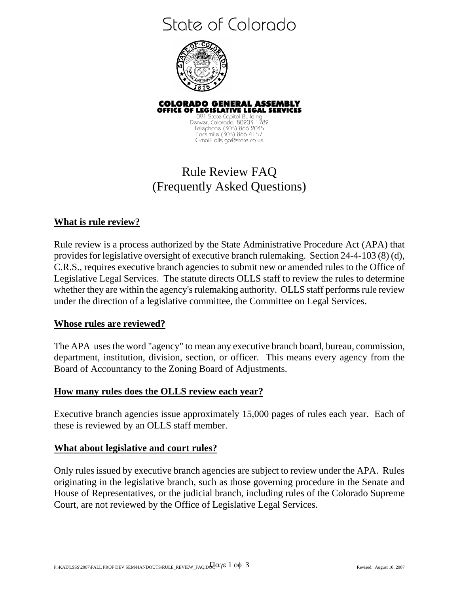# State of Colorado



**COLORADO GENERAL ASSEMBLY<br>OFFICE OF LEGISLATIVE LEGAL SERVICES**  091 State Capitol Building Denver, Colorado 80203-1782 Telephone (303) 866-2045 Facsimile (303) 866-4157 E-mail: olls.ga@state.co.us

# Rule Review FAQ (Frequently Asked Questions)

## **What is rule review?**

Rule review is a process authorized by the State Administrative Procedure Act (APA) that provides for legislative oversight of executive branch rulemaking. Section 24-4-103 (8) (d), C.R.S., requires executive branch agencies to submit new or amended rules to the Office of Legislative Legal Services. The statute directs OLLS staff to review the rules to determine whether they are within the agency's rulemaking authority. OLLS staff performs rule review under the direction of a legislative committee, the Committee on Legal Services.

#### **Whose rules are reviewed?**

The APA uses the word "agency" to mean any executive branch board, bureau, commission, department, institution, division, section, or officer. This means every agency from the Board of Accountancy to the Zoning Board of Adjustments.

#### **How many rules does the OLLS review each year?**

Executive branch agencies issue approximately 15,000 pages of rules each year. Each of these is reviewed by an OLLS staff member.

#### **What about legislative and court rules?**

Only rules issued by executive branch agencies are subject to review under the APA. Rules originating in the legislative branch, such as those governing procedure in the Senate and House of Representatives, or the judicial branch, including rules of the Colorado Supreme Court, are not reviewed by the Office of Legislative Legal Services.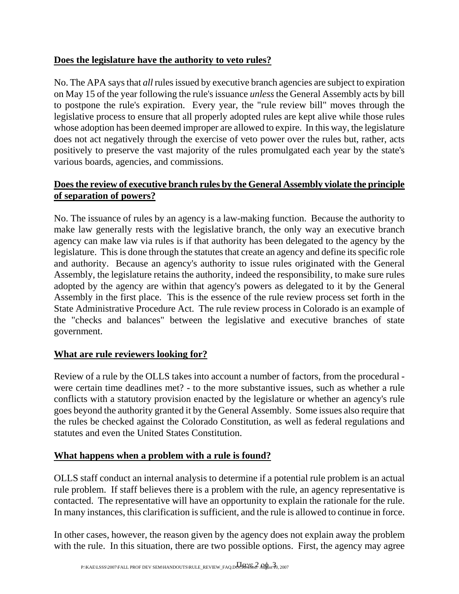## **Does the legislature have the authority to veto rules?**

No. The APA says that *all* rules issued by executive branch agencies are subject to expiration on May 15 of the year following the rule's issuance *unless* the General Assembly acts by bill to postpone the rule's expiration. Every year, the "rule review bill" moves through the legislative process to ensure that all properly adopted rules are kept alive while those rules whose adoption has been deemed improper are allowed to expire. In this way, the legislature does not act negatively through the exercise of veto power over the rules but, rather, acts positively to preserve the vast majority of the rules promulgated each year by the state's various boards, agencies, and commissions.

# **Does the review of executive branch rules by the General Assembly violate the principle of separation of powers?**

No. The issuance of rules by an agency is a law-making function. Because the authority to make law generally rests with the legislative branch, the only way an executive branch agency can make law via rules is if that authority has been delegated to the agency by the legislature. This is done through the statutes that create an agency and define its specific role and authority. Because an agency's authority to issue rules originated with the General Assembly, the legislature retains the authority, indeed the responsibility, to make sure rules adopted by the agency are within that agency's powers as delegated to it by the General Assembly in the first place. This is the essence of the rule review process set forth in the State Administrative Procedure Act. The rule review process in Colorado is an example of the "checks and balances" between the legislative and executive branches of state government.

# **What are rule reviewers looking for?**

Review of a rule by the OLLS takes into account a number of factors, from the procedural were certain time deadlines met? - to the more substantive issues, such as whether a rule conflicts with a statutory provision enacted by the legislature or whether an agency's rule goes beyond the authority granted it by the General Assembly. Some issues also require that the rules be checked against the Colorado Constitution, as well as federal regulations and statutes and even the United States Constitution.

## **What happens when a problem with a rule is found?**

OLLS staff conduct an internal analysis to determine if a potential rule problem is an actual rule problem. If staff believes there is a problem with the rule, an agency representative is contacted. The representative will have an opportunity to explain the rationale for the rule. In many instances, this clarification is sufficient, and the rule is allowed to continue in force.

In other cases, however, the reason given by the agency does not explain away the problem with the rule. In this situation, there are two possible options. First, the agency may agree